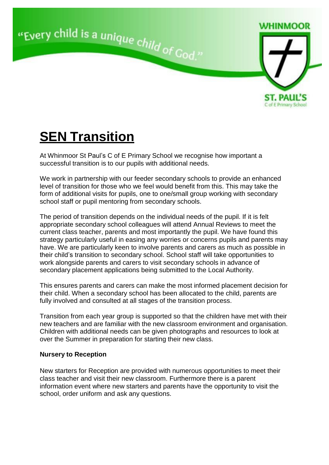

## **SEN Transition**

At Whinmoor St Paul's C of E Primary School we recognise how important a successful transition is to our pupils with additional needs.

We work in partnership with our feeder secondary schools to provide an enhanced level of transition for those who we feel would benefit from this. This may take the form of additional visits for pupils, one to one/small group working with secondary school staff or pupil mentoring from secondary schools.

The period of transition depends on the individual needs of the pupil. If it is felt appropriate secondary school colleagues will attend Annual Reviews to meet the current class teacher, parents and most importantly the pupil. We have found this strategy particularly useful in easing any worries or concerns pupils and parents may have. We are particularly keen to involve parents and carers as much as possible in their child's transition to secondary school. School staff will take opportunities to work alongside parents and carers to visit secondary schools in advance of secondary placement applications being submitted to the Local Authority.

This ensures parents and carers can make the most informed placement decision for their child. When a secondary school has been allocated to the child, parents are fully involved and consulted at all stages of the transition process.

Transition from each year group is supported so that the children have met with their new teachers and are familiar with the new classroom environment and organisation. Children with additional needs can be given photographs and resources to look at over the Summer in preparation for starting their new class.

## **Nursery to Reception**

New starters for Reception are provided with numerous opportunities to meet their class teacher and visit their new classroom. Furthermore there is a parent information event where new starters and parents have the opportunity to visit the school, order uniform and ask any questions.